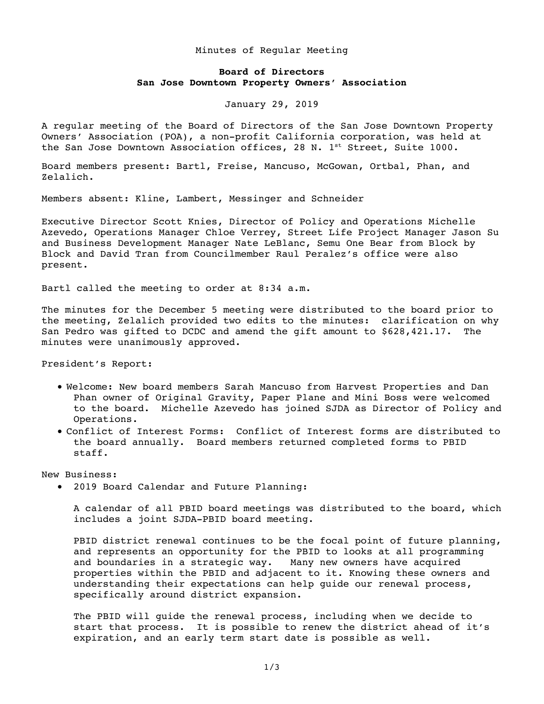## Minutes of Regular Meeting

## **Board of Directors San Jose Downtown Property Owners' Association**

January 29, 2019

A regular meeting of the Board of Directors of the San Jose Downtown Property Owners' Association (POA), a non-profit California corporation, was held at the San Jose Downtown Association offices, 28 N. 1<sup>st</sup> Street, Suite 1000.

Board members present: Bartl, Freise, Mancuso, McGowan, Ortbal, Phan, and Zelalich.

Members absent: Kline, Lambert, Messinger and Schneider

Executive Director Scott Knies, Director of Policy and Operations Michelle Azevedo, Operations Manager Chloe Verrey, Street Life Project Manager Jason Su and Business Development Manager Nate LeBlanc, Semu One Bear from Block by Block and David Tran from Councilmember Raul Peralez's office were also present.

Bartl called the meeting to order at 8:34 a.m.

The minutes for the December 5 meeting were distributed to the board prior to the meeting, Zelalich provided two edits to the minutes: clarification on why San Pedro was gifted to DCDC and amend the gift amount to \$628,421.17. The minutes were unanimously approved.

President's Report:

- Welcome: New board members Sarah Mancuso from Harvest Properties and Dan Phan owner of Original Gravity, Paper Plane and Mini Boss were welcomed to the board. Michelle Azevedo has joined SJDA as Director of Policy and Operations.
- Conflict of Interest Forms: Conflict of Interest forms are distributed to the board annually. Board members returned completed forms to PBID staff.

New Business:

• 2019 Board Calendar and Future Planning:

A calendar of all PBID board meetings was distributed to the board, which includes a joint SJDA-PBID board meeting.

PBID district renewal continues to be the focal point of future planning, and represents an opportunity for the PBID to looks at all programming and boundaries in a strategic way. Many new owners have acquired properties within the PBID and adjacent to it. Knowing these owners and understanding their expectations can help guide our renewal process, specifically around district expansion.

The PBID will guide the renewal process, including when we decide to start that process. It is possible to renew the district ahead of it's expiration, and an early term start date is possible as well.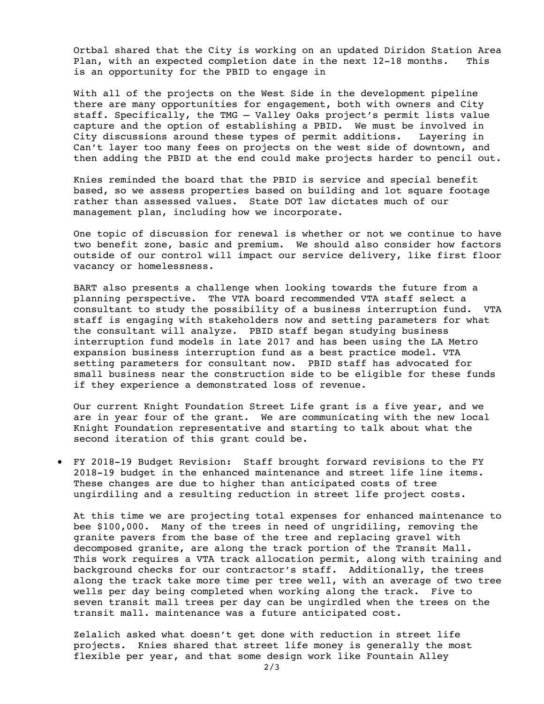Ortbal shared that the City is working on an updated Diridon Station Area Plan, with an expected completion date in the next 12-18 months. This is an opportunity for the PBID to engage in

With all of the projects on the West Side in the development pipeline there are many opportunities for engagement, both with owners and City staff. Specifically, the TMG – Valley Oaks project's permit lists value capture and the option of establishing a PBID. We must be involved in City discussions around these types of permit additions. Layering in Can't layer too many fees on projects on the west side of downtown, and then adding the PBID at the end could make projects harder to pencil out.

Knies reminded the board that the PBID is service and special benefit based, so we assess properties based on building and lot square footage rather than assessed values. State DOT law dictates much of our management plan, including how we incorporate.

One topic of discussion for renewal is whether or not we continue to have two benefit zone, basic and premium. We should also consider how factors outside of our control will impact our service delivery, like first floor vacancy or homelessness.

BART also presents a challenge when looking towards the future from a planning perspective. The VTA board recommended VTA staff select a consultant to study the possibility of a business interruption fund. VTA staff is engaging with stakeholders now and setting parameters for what the consultant will analyze. PBID staff began studying business interruption fund models in late 2017 and has been using the LA Metro expansion business interruption fund as a best practice model. VTA setting parameters for consultant now. PBID staff has advocated for small business near the construction side to be eligible for these funds if they experience a demonstrated loss of revenue.

Our current Knight Foundation Street Life grant is a five year, and we are in year four of the grant. We are communicating with the new local Knight Foundation representative and starting to talk about what the second iteration of this grant could be.

• FY 2018-19 Budget Revision: Staff brought forward revisions to the FY 2018-19 budget in the enhanced maintenance and street life line items. These changes are due to higher than anticipated costs of tree ungirdiling and a resulting reduction in street life project costs.

At this time we are projecting total expenses for enhanced maintenance to bee \$100,000. Many of the trees in need of ungridiling, removing the granite pavers from the base of the tree and replacing gravel with decomposed granite, are along the track portion of the Transit Mall. This work requires a VTA track allocation permit, along with training and background checks for our contractor's staff. Additionally, the trees along the track take more time per tree well, with an average of two tree wells per day being completed when working along the track. Five to seven transit mall trees per day can be ungirdled when the trees on the transit mall. maintenance was a future anticipated cost.

Zelalich asked what doesn't get done with reduction in street life projects. Knies shared that street life money is generally the most flexible per year, and that some design work like Fountain Alley